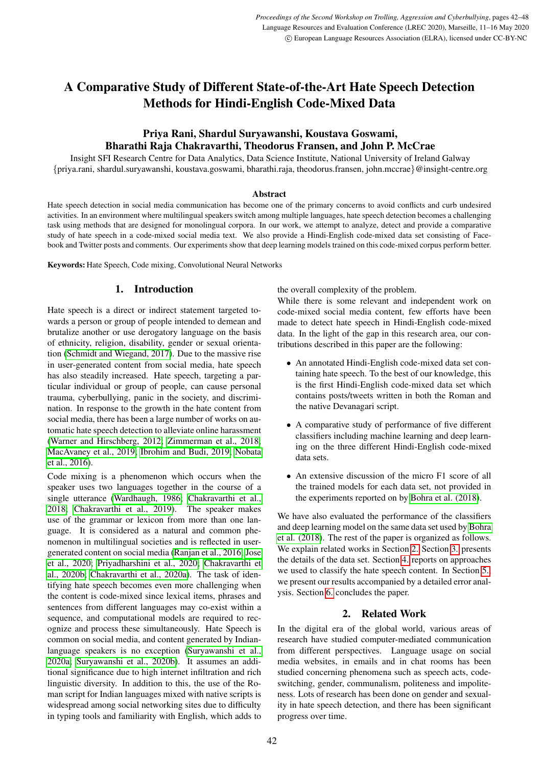# A Comparative Study of Different State-of-the-Art Hate Speech Detection Methods for Hindi-English Code-Mixed Data

# Priya Rani, Shardul Suryawanshi, Koustava Goswami, Bharathi Raja Chakravarthi, Theodorus Fransen, and John P. McCrae

Insight SFI Research Centre for Data Analytics, Data Science Institute, National University of Ireland Galway {priya.rani, shardul.suryawanshi, koustava.goswami, bharathi.raja, theodorus.fransen, john.mccrae}@insight-centre.org

#### Abstract

Hate speech detection in social media communication has become one of the primary concerns to avoid conflicts and curb undesired activities. In an environment where multilingual speakers switch among multiple languages, hate speech detection becomes a challenging task using methods that are designed for monolingual corpora. In our work, we attempt to analyze, detect and provide a comparative study of hate speech in a code-mixed social media text. We also provide a Hindi-English code-mixed data set consisting of Facebook and Twitter posts and comments. Our experiments show that deep learning models trained on this code-mixed corpus perform better.

Keywords: Hate Speech, Code mixing, Convolutional Neural Networks

#### 1. Introduction

Hate speech is a direct or indirect statement targeted towards a person or group of people intended to demean and brutalize another or use derogatory language on the basis of ethnicity, religion, disability, gender or sexual orientation [\(Schmidt and Wiegand, 2017\)](#page-6-0). Due to the massive rise in user-generated content from social media, hate speech has also steadily increased. Hate speech, targeting a particular individual or group of people, can cause personal trauma, cyberbullying, panic in the society, and discrimination. In response to the growth in the hate content from social media, there has been a large number of works on automatic hate speech detection to alleviate online harassment [\(Warner and Hirschberg, 2012;](#page-6-1) [Zimmerman et al., 2018;](#page-6-2) [MacAvaney et al., 2019;](#page-5-0) [Ibrohim and Budi, 2019;](#page-5-1) [Nobata](#page-5-2) [et al., 2016\)](#page-5-2).

Code mixing is a phenomenon which occurs when the speaker uses two languages together in the course of a single utterance [\(Wardhaugh, 1986;](#page-6-3) [Chakravarthi et al.,](#page-5-3) [2018;](#page-5-3) [Chakravarthi et al., 2019\)](#page-5-4). The speaker makes use of the grammar or lexicon from more than one language. It is considered as a natural and common phenomenon in multilingual societies and is reflected in usergenerated content on social media [\(Ranjan et al., 2016;](#page-6-4) [Jose](#page-5-5) [et al., 2020;](#page-5-5) [Priyadharshini et al., 2020;](#page-5-6) [Chakravarthi et](#page-5-7) [al., 2020b;](#page-5-7) [Chakravarthi et al., 2020a\)](#page-5-8). The task of identifying hate speech becomes even more challenging when the content is code-mixed since lexical items, phrases and sentences from different languages may co-exist within a sequence, and computational models are required to recognize and process these simultaneously. Hate Speech is common on social media, and content generated by Indianlanguage speakers is no exception [\(Suryawanshi et al.,](#page-6-5) [2020a;](#page-6-5) [Suryawanshi et al., 2020b\)](#page-6-6). It assumes an additional significance due to high internet infiltration and rich linguistic diversity. In addition to this, the use of the Roman script for Indian languages mixed with native scripts is widespread among social networking sites due to difficulty in typing tools and familiarity with English, which adds to the overall complexity of the problem.

While there is some relevant and independent work on code-mixed social media content, few efforts have been made to detect hate speech in Hindi-English code-mixed data. In the light of the gap in this research area, our contributions described in this paper are the following:

- An annotated Hindi-English code-mixed data set containing hate speech. To the best of our knowledge, this is the first Hindi-English code-mixed data set which contains posts/tweets written in both the Roman and the native Devanagari script.
- A comparative study of performance of five different classifiers including machine learning and deep learning on the three different Hindi-English code-mixed data sets.
- An extensive discussion of the micro F1 score of all the trained models for each data set, not provided in the experiments reported on by [Bohra et al. \(2018\)](#page-5-9).

We have also evaluated the performance of the classifiers and deep learning model on the same data set used by [Bohra](#page-5-9) [et al. \(2018\)](#page-5-9). The rest of the paper is organized as follows. We explain related works in Section [2.](#page-0-0) Section [3.](#page-1-0) presents the details of the data set. Section [4.](#page-3-0) reports on approaches we used to classify the hate speech content. In Section [5.,](#page-4-0) we present our results accompanied by a detailed error analysis. Section [6.](#page-4-1) concludes the paper.

# 2. Related Work

<span id="page-0-0"></span>In the digital era of the global world, various areas of research have studied computer-mediated communication from different perspectives. Language usage on social media websites, in emails and in chat rooms has been studied concerning phenomena such as speech acts, codeswitching, gender, communalism, politeness and impoliteness. Lots of research has been done on gender and sexuality in hate speech detection, and there has been significant progress over time.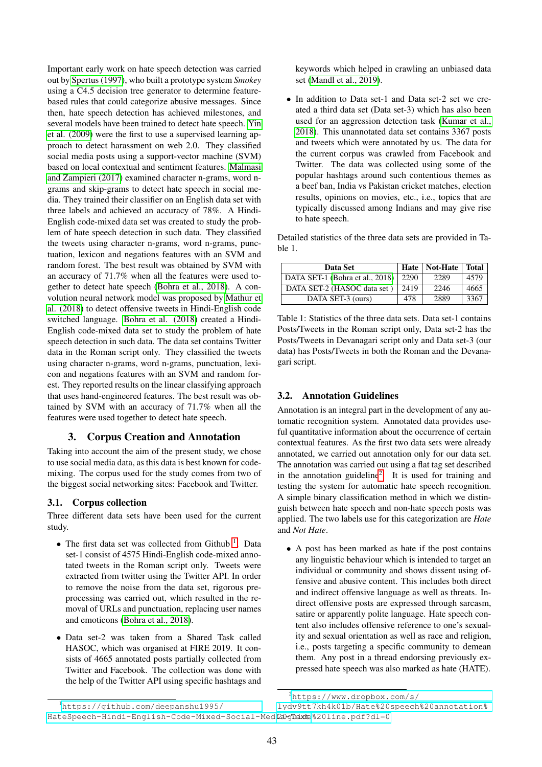Important early work on hate speech detection was carried out by [Spertus \(1997\)](#page-6-7), who built a prototype system *Smokey* using a C4.5 decision tree generator to determine featurebased rules that could categorize abusive messages. Since then, hate speech detection has achieved milestones, and several models have been trained to detect hate speech. [Yin](#page-6-8) [et al. \(2009\)](#page-6-8) were the first to use a supervised learning approach to detect harassment on web 2.0. They classified social media posts using a support-vector machine (SVM) based on local contextual and sentiment features. [Malmasi](#page-5-10) [and Zampieri \(2017\)](#page-5-10) examined character n-grams, word ngrams and skip-grams to detect hate speech in social media. They trained their classifier on an English data set with three labels and achieved an accuracy of 78%. A Hindi-English code-mixed data set was created to study the problem of hate speech detection in such data. They classified the tweets using character n-grams, word n-grams, punctuation, lexicon and negations features with an SVM and random forest. The best result was obtained by SVM with an accuracy of 71.7% when all the features were used together to detect hate speech [\(Bohra et al., 2018\)](#page-5-9). A convolution neural network model was proposed by [Mathur et](#page-5-11) [al. \(2018\)](#page-5-11) to detect offensive tweets in Hindi-English code switched language. [Bohra et al. \(2018\)](#page-5-9) created a Hindi-English code-mixed data set to study the problem of hate speech detection in such data. The data set contains Twitter data in the Roman script only. They classified the tweets using character n-grams, word n-grams, punctuation, lexicon and negations features with an SVM and random forest. They reported results on the linear classifying approach that uses hand-engineered features. The best result was obtained by SVM with an accuracy of 71.7% when all the features were used together to detect hate speech.

# 3. Corpus Creation and Annotation

<span id="page-1-0"></span>Taking into account the aim of the present study, we chose to use social media data, as this data is best known for codemixing. The corpus used for the study comes from two of the biggest social networking sites: Facebook and Twitter.

# 3.1. Corpus collection

Three different data sets have been used for the current study.

- The first data set was collected from Github  $<sup>1</sup>$  $<sup>1</sup>$  $<sup>1</sup>$ . Data</sup> set-1 consist of 4575 Hindi-English code-mixed annotated tweets in the Roman script only. Tweets were extracted from twitter using the Twitter API. In order to remove the noise from the data set, rigorous preprocessing was carried out, which resulted in the removal of URLs and punctuation, replacing user names and emoticons [\(Bohra et al., 2018\)](#page-5-9).
- Data set-2 was taken from a Shared Task called HASOC, which was organised at FIRE 2019. It consists of 4665 annotated posts partially collected from Twitter and Facebook. The collection was done with the help of the Twitter API using specific hashtags and

keywords which helped in crawling an unbiased data set [\(Mandl et al., 2019\)](#page-5-12).

• In addition to Data set-1 and Data set-2 set we created a third data set (Data set-3) which has also been used for an aggression detection task [\(Kumar et al.,](#page-5-13) [2018\)](#page-5-13). This unannotated data set contains 3367 posts and tweets which were annotated by us. The data for the current corpus was crawled from Facebook and Twitter. The data was collected using some of the popular hashtags around such contentious themes as a beef ban, India vs Pakistan cricket matches, election results, opinions on movies, etc., i.e., topics that are typically discussed among Indians and may give rise to hate speech.

Detailed statistics of the three data sets are provided in Table 1.

| Data Set                        | Hate | Not-Hate | <b>Total</b> |
|---------------------------------|------|----------|--------------|
| DATA SET-1 (Bohra et al., 2018) | 2290 | 2289     | 4579         |
| DATA SET-2 (HASOC data set)     | 2419 | 2246     | 4665         |
| DATA SET-3 (ours)               | 478  | 2889     | 3367         |

Table 1: Statistics of the three data sets. Data set-1 contains Posts/Tweets in the Roman script only, Data set-2 has the Posts/Tweets in Devanagari script only and Data set-3 (our data) has Posts/Tweets in both the Roman and the Devanagari script.

# 3.2. Annotation Guidelines

Annotation is an integral part in the development of any automatic recognition system. Annotated data provides useful quantitative information about the occurrence of certain contextual features. As the first two data sets were already annotated, we carried out annotation only for our data set. The annotation was carried out using a flat tag set described in the annotation guideline<sup>[2](#page-1-2)</sup>. It is used for training and testing the system for automatic hate speech recognition. A simple binary classification method in which we distinguish between hate speech and non-hate speech posts was applied. The two labels use for this categorization are *Hate* and *Not Hate*.

• A post has been marked as hate if the post contains any linguistic behaviour which is intended to target an individual or community and shows dissent using offensive and abusive content. This includes both direct and indirect offensive language as well as threats. Indirect offensive posts are expressed through sarcasm, satire or apparently polite language. Hate speech content also includes offensive reference to one's sexuality and sexual orientation as well as race and religion, i.e., posts targeting a specific community to demean them. Any post in a thread endorsing previously expressed hate speech was also marked as hate (HATE).

<span id="page-1-2"></span><sup>2</sup>[https://www.dropbox.com/s/](https://www.dropbox.com/s/lydv9tt7kh4k01b/Hate%20speech%20annotation%20guide%20line.pdf?dl=0)

<span id="page-1-1"></span><sup>1</sup>[https://github.com/deepanshu1995/](https://github.com/deepanshu1995/Hate Speech-Hindi-English-Code-Mixed-Social-Media-Text) HateSpeech-Hindi-English-Code-Mixed-Social-Medi20glexte%20line.pdf?dl=0 [lydv9tt7kh4k01b/Hate%20speech%20annotation%](https://www.dropbox.com/s/lydv9tt7kh4k01b/Hate%20speech%20annotation%20guide%20line.pdf?dl=0)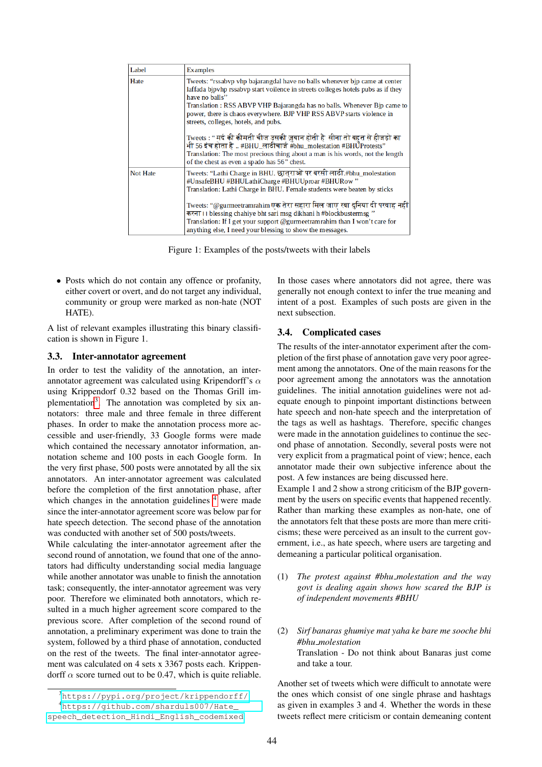| Label           | <b>Examples</b>                                                                                                                                                                                                                                                                                                                                                              |
|-----------------|------------------------------------------------------------------------------------------------------------------------------------------------------------------------------------------------------------------------------------------------------------------------------------------------------------------------------------------------------------------------------|
| Hate            | Tweets: "rssabvp vhp bajarangdal have no balls whenever bjp came at center<br>laffada bjpvhp rssabvp start voilence in streets colleges hotels pubs as if they<br>have no balls"<br>Translation: RSS ABVP VHP Bajarangda has no balls. Whenever Bjp came to<br>power, there is chaos everywhere. BJP VHP RSS ABVP starts violence in<br>streets, colleges, hotels, and pubs. |
|                 | Tweets : " मर्द की कीमती चीज उसकी ज़ुबान होती है  सीना तो बहुत से हीजड़ो का<br>भी 56 इंच होता है  #BHU_लाठीचार्ज #bhu_molestation #BHUProtests"<br>Translation: The most precious thing about a man is his words, not the length<br>of the chest as even a spado has 56" chest.                                                                                              |
| <b>Not Hate</b> | Tweets: "Lathi Charge in BHU. छात्राओं पर बरसी लाठी.#bhu_molestation<br>#UnsafeBHU #BHULathiCharge #BHUUproar #BHURow"<br>Translation: Lathi Charge in BHU. Female students were beaten by sticks                                                                                                                                                                            |
|                 | Tweets: "@gurmeetramrahim एक तेरा सहारा मिल जाए रवा दुनिया दी परवाह नहीं<br>करना। I blessing chahiye bht sari msg dikhani h#blockbustermsg "<br>Translation: If I get your support $(\omega)$ gurmeetramrahim than I won't care for<br>anything else. I need your blessing to show the messages.                                                                             |

Figure 1: Examples of the posts/tweets with their labels

• Posts which do not contain any offence or profanity, either covert or overt, and do not target any individual, community or group were marked as non-hate (NOT HATE).

A list of relevant examples illustrating this binary classification is shown in Figure 1.

#### 3.3. Inter-annotator agreement

In order to test the validity of the annotation, an interannotator agreement was calculated using Kripendorff's  $\alpha$ using Krippendorf 0.32 based on the Thomas Grill im-plementation<sup>[3](#page-2-0)</sup>. The annotation was completed by six annotators: three male and three female in three different phases. In order to make the annotation process more accessible and user-friendly, 33 Google forms were made which contained the necessary annotator information, annotation scheme and 100 posts in each Google form. In the very first phase, 500 posts were annotated by all the six annotators. An inter-annotator agreement was calculated before the completion of the first annotation phase, after which changes in the annotation guidelines  $4$  were made since the inter-annotator agreement score was below par for hate speech detection. The second phase of the annotation was conducted with another set of 500 posts/tweets.

While calculating the inter-annotator agreement after the second round of annotation, we found that one of the annotators had difficulty understanding social media language while another annotator was unable to finish the annotation task; consequently, the inter-annotator agreement was very poor. Therefore we eliminated both annotators, which resulted in a much higher agreement score compared to the previous score. After completion of the second round of annotation, a preliminary experiment was done to train the system, followed by a third phase of annotation, conducted on the rest of the tweets. The final inter-annotator agreement was calculated on 4 sets x 3367 posts each. Krippendorff  $\alpha$  score turned out to be 0.47, which is quite reliable. In those cases where annotators did not agree, there was generally not enough context to infer the true meaning and intent of a post. Examples of such posts are given in the next subsection.

#### 3.4. Complicated cases

The results of the inter-annotator experiment after the completion of the first phase of annotation gave very poor agreement among the annotators. One of the main reasons for the poor agreement among the annotators was the annotation guidelines. The initial annotation guidelines were not adequate enough to pinpoint important distinctions between hate speech and non-hate speech and the interpretation of the tags as well as hashtags. Therefore, specific changes were made in the annotation guidelines to continue the second phase of annotation. Secondly, several posts were not very explicit from a pragmatical point of view; hence, each annotator made their own subjective inference about the post. A few instances are being discussed here.

Example 1 and 2 show a strong criticism of the BJP government by the users on specific events that happened recently. Rather than marking these examples as non-hate, one of the annotators felt that these posts are more than mere criticisms; these were perceived as an insult to the current government, i.e., as hate speech, where users are targeting and demeaning a particular political organisation.

- (1) *The protest against #bhu molestation and the way govt is dealing again shows how scared the BJP is of independent movements #BHU*
- (2) *Sirf banaras ghumiye mat yaha ke bare me sooche bhi #bhu molestation* Translation - Do not think about Banaras just come and take a tour.

Another set of tweets which were difficult to annotate were the ones which consist of one single phrase and hashtags as given in examples 3 and 4. Whether the words in these tweets reflect mere criticism or contain demeaning content

<span id="page-2-1"></span><span id="page-2-0"></span><sup>3</sup><https://pypi.org/project/krippendorff/> <sup>4</sup>[https://github.com/sharduls007/Hate\\_](https://github.com/sharduls007/Hate_speech_detection_Hindi_English_codemixed)

[speech\\_detection\\_Hindi\\_English\\_codemixed](https://github.com/sharduls007/Hate_speech_detection_Hindi_English_codemixed)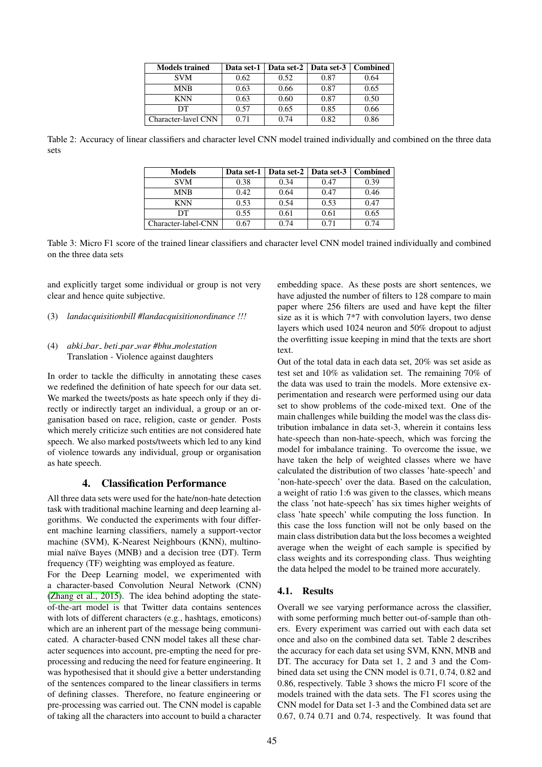| <b>Models trained</b> | Data set-1 | Data set-2   Data set-3   Combined |      |      |
|-----------------------|------------|------------------------------------|------|------|
| <b>SVM</b>            | 0.62       | 0.52                               | 0.87 | 0.64 |
| <b>MNB</b>            | 0.63       | 0.66                               | 0.87 | 0.65 |
| <b>KNN</b>            | 0.63       | 0.60                               | 0.87 | 0.50 |
| DТ                    | 0.57       | 0.65                               | 0.85 | 0.66 |
| Character-lavel CNN   | 0.71       | 0.74                               | 0.82 | 0.86 |

Table 2: Accuracy of linear classifiers and character level CNN model trained individually and combined on the three data sets

| <b>Models</b>       | Data set-1 |      | Data set-2   Data set-3 | <b>Combined</b> |
|---------------------|------------|------|-------------------------|-----------------|
| <b>SVM</b>          | 0.38       | 0.34 | 0.47                    | 0.39            |
| <b>MNB</b>          | 0.42       | 0.64 | 0.47                    | 0.46            |
| <b>KNN</b>          | 0.53       | 0.54 | 0.53                    | 0.47            |
| DТ                  | 0.55       | 0.61 | 0.61                    | 0.65            |
| Character-label-CNN | 0.67       | 0.74 | 0.71                    | 0.74            |

Table 3: Micro F1 score of the trained linear classifiers and character level CNN model trained individually and combined on the three data sets

and explicitly target some individual or group is not very clear and hence quite subjective.

(3) *landacquisitionbill #landacquisitionordinance !!!*

#### (4) *abki bar beti par war #bhu molestation* Translation - Violence against daughters

In order to tackle the difficulty in annotating these cases we redefined the definition of hate speech for our data set. We marked the tweets/posts as hate speech only if they directly or indirectly target an individual, a group or an organisation based on race, religion, caste or gender. Posts which merely criticize such entities are not considered hate speech. We also marked posts/tweets which led to any kind of violence towards any individual, group or organisation as hate speech.

# 4. Classification Performance

<span id="page-3-0"></span>All three data sets were used for the hate/non-hate detection task with traditional machine learning and deep learning algorithms. We conducted the experiments with four different machine learning classifiers, namely a support-vector machine (SVM), K-Nearest Neighbours (KNN), multinomial naïve Bayes (MNB) and a decision tree (DT). Term frequency (TF) weighting was employed as feature.

For the Deep Learning model, we experimented with a character-based Convolution Neural Network (CNN) [\(Zhang et al., 2015\)](#page-6-9). The idea behind adopting the stateof-the-art model is that Twitter data contains sentences with lots of different characters (e.g., hashtags, emoticons) which are an inherent part of the message being communicated. A character-based CNN model takes all these character sequences into account, pre-empting the need for preprocessing and reducing the need for feature engineering. It was hypothesised that it should give a better understanding of the sentences compared to the linear classifiers in terms of defining classes. Therefore, no feature engineering or pre-processing was carried out. The CNN model is capable of taking all the characters into account to build a character embedding space. As these posts are short sentences, we have adjusted the number of filters to 128 compare to main paper where 256 filters are used and have kept the filter size as it is which 7\*7 with convolution layers, two dense layers which used 1024 neuron and 50% dropout to adjust the overfitting issue keeping in mind that the texts are short text.

Out of the total data in each data set, 20% was set aside as test set and 10% as validation set. The remaining 70% of the data was used to train the models. More extensive experimentation and research were performed using our data set to show problems of the code-mixed text. One of the main challenges while building the model was the class distribution imbalance in data set-3, wherein it contains less hate-speech than non-hate-speech, which was forcing the model for imbalance training. To overcome the issue, we have taken the help of weighted classes where we have calculated the distribution of two classes 'hate-speech' and 'non-hate-speech' over the data. Based on the calculation, a weight of ratio 1:6 was given to the classes, which means the class 'not hate-speech' has six times higher weights of class 'hate speech' while computing the loss function. In this case the loss function will not be only based on the main class distribution data but the loss becomes a weighted average when the weight of each sample is specified by class weights and its corresponding class. Thus weighting the data helped the model to be trained more accurately.

# 4.1. Results

Overall we see varying performance across the classifier, with some performing much better out-of-sample than others. Every experiment was carried out with each data set once and also on the combined data set. Table 2 describes the accuracy for each data set using SVM, KNN, MNB and DT. The accuracy for Data set 1, 2 and 3 and the Combined data set using the CNN model is 0.71, 0.74, 0.82 and 0.86, respectively. Table 3 shows the micro F1 score of the models trained with the data sets. The F1 scores using the CNN model for Data set 1-3 and the Combined data set are 0.67, 0.74 0.71 and 0.74, respectively. It was found that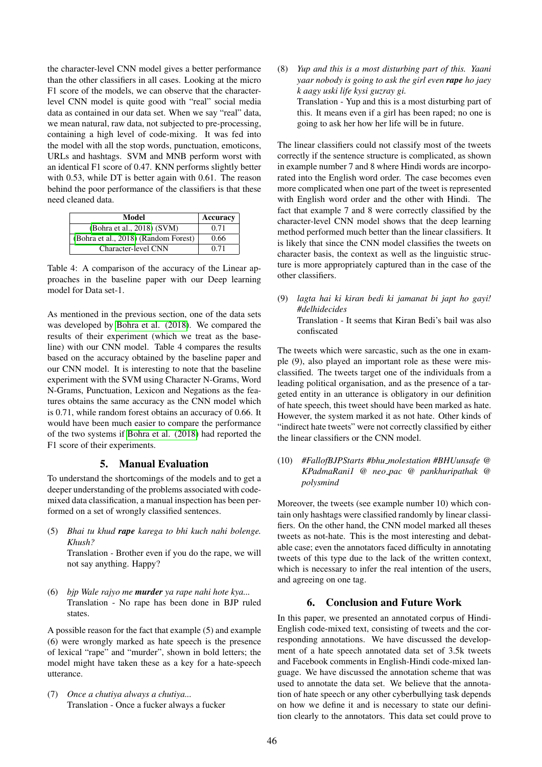the character-level CNN model gives a better performance than the other classifiers in all cases. Looking at the micro F1 score of the models, we can observe that the characterlevel CNN model is quite good with "real" social media data as contained in our data set. When we say "real" data, we mean natural, raw data, not subjected to pre-processing, containing a high level of code-mixing. It was fed into the model with all the stop words, punctuation, emoticons, URLs and hashtags. SVM and MNB perform worst with an identical F1 score of 0.47. KNN performs slightly better with 0.53, while DT is better again with 0.61. The reason behind the poor performance of the classifiers is that these need cleaned data.

| Model                                | Accuracy |
|--------------------------------------|----------|
| (Bohra et al., 2018) (SVM)           | 0.71     |
| (Bohra et al., 2018) (Random Forest) | 0.66     |
| Character-level CNN                  | 0.71     |

Table 4: A comparison of the accuracy of the Linear approaches in the baseline paper with our Deep learning model for Data set-1.

As mentioned in the previous section, one of the data sets was developed by [Bohra et al. \(2018\)](#page-5-9). We compared the results of their experiment (which we treat as the baseline) with our CNN model. Table 4 compares the results based on the accuracy obtained by the baseline paper and our CNN model. It is interesting to note that the baseline experiment with the SVM using Character N-Grams, Word N-Grams, Punctuation, Lexicon and Negations as the features obtains the same accuracy as the CNN model which is 0.71, while random forest obtains an accuracy of 0.66. It would have been much easier to compare the performance of the two systems if [Bohra et al. \(2018\)](#page-5-9) had reported the F1 score of their experiments.

#### 5. Manual Evaluation

<span id="page-4-0"></span>To understand the shortcomings of the models and to get a deeper understanding of the problems associated with codemixed data classification, a manual inspection has been performed on a set of wrongly classified sentences.

(5) *Bhai tu khud rape karega to bhi kuch nahi bolenge. Khush?*

Translation - Brother even if you do the rape, we will not say anything. Happy?

(6) *bjp Wale rajyo me murder ya rape nahi hote kya...* Translation - No rape has been done in BJP ruled states.

A possible reason for the fact that example (5) and example (6) were wrongly marked as hate speech is the presence of lexical "rape" and "murder", shown in bold letters; the model might have taken these as a key for a hate-speech utterance.

(7) *Once a chutiya always a chutiya...* Translation - Once a fucker always a fucker (8) *Yup and this is a most disturbing part of this. Yaani yaar nobody is going to ask the girl even rape ho jaey k aagy uski life kysi guzray gi.* Translation - Yup and this is a most disturbing part of this. It means even if a girl has been raped; no one is going to ask her how her life will be in future.

The linear classifiers could not classify most of the tweets correctly if the sentence structure is complicated, as shown in example number 7 and 8 where Hindi words are incorporated into the English word order. The case becomes even more complicated when one part of the tweet is represented with English word order and the other with Hindi. The fact that example 7 and 8 were correctly classified by the character-level CNN model shows that the deep learning method performed much better than the linear classifiers. It is likely that since the CNN model classifies the tweets on character basis, the context as well as the linguistic structure is more appropriately captured than in the case of the other classifiers.

(9) *lagta hai ki kiran bedi ki jamanat bi japt ho gayi! #delhidecides* Translation - It seems that Kiran Bedi's bail was also confiscated

The tweets which were sarcastic, such as the one in example (9), also played an important role as these were misclassified. The tweets target one of the individuals from a leading political organisation, and as the presence of a targeted entity in an utterance is obligatory in our definition of hate speech, this tweet should have been marked as hate. However, the system marked it as not hate. Other kinds of "indirect hate tweets" were not correctly classified by either the linear classifiers or the CNN model.

(10) *#FallofBJPStarts #bhu molestation #BHUunsafe @ KPadmaRani1 @ neo pac @ pankhuripathak @ polysmind*

Moreover, the tweets (see example number 10) which contain only hashtags were classified randomly by linear classifiers. On the other hand, the CNN model marked all theses tweets as not-hate. This is the most interesting and debatable case; even the annotators faced difficulty in annotating tweets of this type due to the lack of the written context, which is necessary to infer the real intention of the users, and agreeing on one tag.

# 6. Conclusion and Future Work

<span id="page-4-1"></span>In this paper, we presented an annotated corpus of Hindi-English code-mixed text, consisting of tweets and the corresponding annotations. We have discussed the development of a hate speech annotated data set of 3.5k tweets and Facebook comments in English-Hindi code-mixed language. We have discussed the annotation scheme that was used to annotate the data set. We believe that the annotation of hate speech or any other cyberbullying task depends on how we define it and is necessary to state our definition clearly to the annotators. This data set could prove to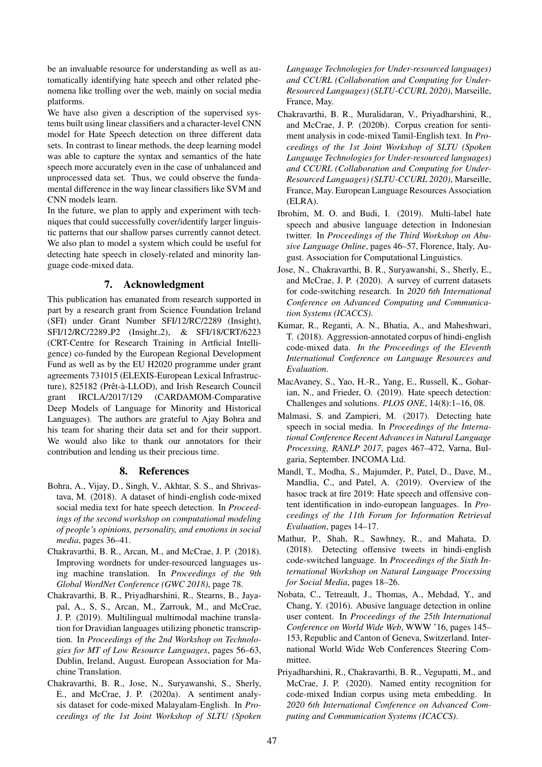be an invaluable resource for understanding as well as automatically identifying hate speech and other related phenomena like trolling over the web, mainly on social media platforms.

We have also given a description of the supervised systems built using linear classifiers and a character-level CNN model for Hate Speech detection on three different data sets. In contrast to linear methods, the deep learning model was able to capture the syntax and semantics of the hate speech more accurately even in the case of unbalanced and unprocessed data set. Thus, we could observe the fundamental difference in the way linear classifiers like SVM and CNN models learn.

In the future, we plan to apply and experiment with techniques that could successfully cover/identify larger linguistic patterns that our shallow parses currently cannot detect. We also plan to model a system which could be useful for detecting hate speech in closely-related and minority language code-mixed data.

# 7. Acknowledgment

This publication has emanated from research supported in part by a research grant from Science Foundation Ireland (SFI) under Grant Number SFI/12/RC/2289 (Insight), SFI/12/RC/2289 P2 (Insight 2), & SFI/18/CRT/6223 (CRT-Centre for Research Training in Artficial Intelligence) co-funded by the European Regional Development Fund as well as by the EU H2020 programme under grant agreements 731015 (ELEXIS-European Lexical Infrastructure), 825182 (Prêt-à-LLOD), and Irish Research Council grant IRCLA/2017/129 (CARDAMOM-Comparative Deep Models of Language for Minority and Historical Languages). The authors are grateful to Ajay Bohra and his team for sharing their data set and for their support. We would also like to thank our annotators for their contribution and lending us their precious time.

#### 8. References

- <span id="page-5-9"></span>Bohra, A., Vijay, D., Singh, V., Akhtar, S. S., and Shrivastava, M. (2018). A dataset of hindi-english code-mixed social media text for hate speech detection. In *Proceedings of the second workshop on computational modeling of people's opinions, personality, and emotions in social media*, pages 36–41.
- <span id="page-5-3"></span>Chakravarthi, B. R., Arcan, M., and McCrae, J. P. (2018). Improving wordnets for under-resourced languages using machine translation. In *Proceedings of the 9th Global WordNet Conference (GWC 2018)*, page 78.
- <span id="page-5-4"></span>Chakravarthi, B. R., Priyadharshini, R., Stearns, B., Jayapal, A., S, S., Arcan, M., Zarrouk, M., and McCrae, J. P. (2019). Multilingual multimodal machine translation for Dravidian languages utilizing phonetic transcription. In *Proceedings of the 2nd Workshop on Technologies for MT of Low Resource Languages*, pages 56–63, Dublin, Ireland, August. European Association for Machine Translation.
- <span id="page-5-8"></span>Chakravarthi, B. R., Jose, N., Suryawanshi, S., Sherly, E., and McCrae, J. P. (2020a). A sentiment analysis dataset for code-mixed Malayalam-English. In *Proceedings of the 1st Joint Workshop of SLTU (Spoken*

*Language Technologies for Under-resourced languages) and CCURL (Collaboration and Computing for Under-Resourced Languages) (SLTU-CCURL 2020)*, Marseille, France, May.

- <span id="page-5-7"></span>Chakravarthi, B. R., Muralidaran, V., Priyadharshini, R., and McCrae, J. P. (2020b). Corpus creation for sentiment analysis in code-mixed Tamil-English text. In *Proceedings of the 1st Joint Workshop of SLTU (Spoken Language Technologies for Under-resourced languages) and CCURL (Collaboration and Computing for Under-Resourced Languages) (SLTU-CCURL 2020)*, Marseille, France, May. European Language Resources Association (ELRA).
- <span id="page-5-1"></span>Ibrohim, M. O. and Budi, I. (2019). Multi-label hate speech and abusive language detection in Indonesian twitter. In *Proceedings of the Third Workshop on Abusive Language Online*, pages 46–57, Florence, Italy, August. Association for Computational Linguistics.
- <span id="page-5-5"></span>Jose, N., Chakravarthi, B. R., Suryawanshi, S., Sherly, E., and McCrae, J. P. (2020). A survey of current datasets for code-switching research. In *2020 6th International Conference on Advanced Computing and Communication Systems (ICACCS)*.
- <span id="page-5-13"></span>Kumar, R., Reganti, A. N., Bhatia, A., and Maheshwari, T. (2018). Aggression-annotated corpus of hindi-english code-mixed data. *In the Proceedings of the Eleventh International Conference on Language Resources and Evaluation*.
- <span id="page-5-0"></span>MacAvaney, S., Yao, H.-R., Yang, E., Russell, K., Goharian, N., and Frieder, O. (2019). Hate speech detection: Challenges and solutions. *PLOS ONE*, 14(8):1–16, 08.
- <span id="page-5-10"></span>Malmasi, S. and Zampieri, M. (2017). Detecting hate speech in social media. In *Proceedings of the International Conference Recent Advances in Natural Language Processing, RANLP 2017*, pages 467–472, Varna, Bulgaria, September. INCOMA Ltd.
- <span id="page-5-12"></span>Mandl, T., Modha, S., Majumder, P., Patel, D., Dave, M., Mandlia, C., and Patel, A. (2019). Overview of the hasoc track at fire 2019: Hate speech and offensive content identification in indo-european languages. In *Proceedings of the 11th Forum for Information Retrieval Evaluation*, pages 14–17.
- <span id="page-5-11"></span>Mathur, P., Shah, R., Sawhney, R., and Mahata, D. (2018). Detecting offensive tweets in hindi-english code-switched language. In *Proceedings of the Sixth International Workshop on Natural Language Processing for Social Media*, pages 18–26.
- <span id="page-5-2"></span>Nobata, C., Tetreault, J., Thomas, A., Mehdad, Y., and Chang, Y. (2016). Abusive language detection in online user content. In *Proceedings of the 25th International Conference on World Wide Web*, WWW '16, pages 145– 153, Republic and Canton of Geneva, Switzerland. International World Wide Web Conferences Steering Committee.
- <span id="page-5-6"></span>Priyadharshini, R., Chakravarthi, B. R., Vegupatti, M., and McCrae, J. P. (2020). Named entity recognition for code-mixed Indian corpus using meta embedding. In *2020 6th International Conference on Advanced Computing and Communication Systems (ICACCS)*.